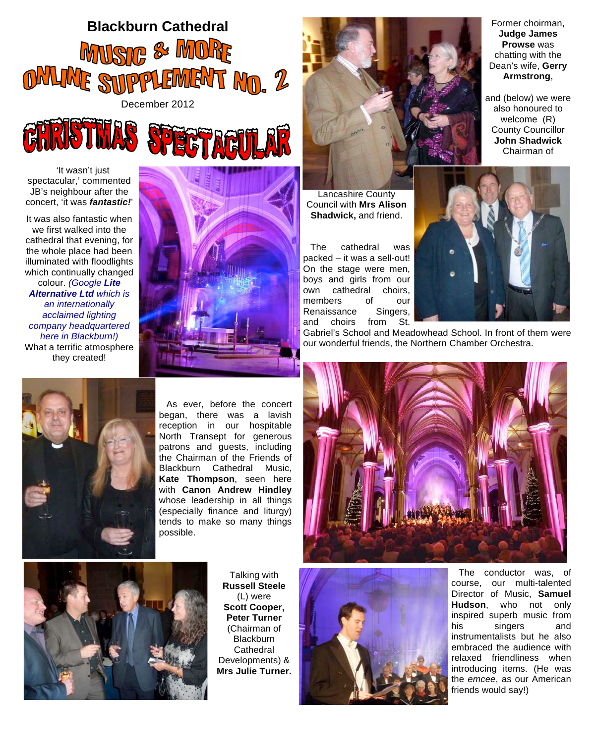



'It wasn't just spectacular,' commented JB's neighbour after the concert, 'it was *fantastic!*'

It was also fantastic when we first walked into the cathedral that evening, for the whole place had been illuminated with floodlights which continually changed colour. *(Google Lite Alternative Ltd which is an internationally acclaimed lighting company headquartered here in Blackburn!)* What a terrific atmosphere they created!





Lancashire County Council with **Mrs Alison Shadwick,** and friend.

The cathedral was packed – it was a sell-out! On the stage were men, boys and girls from our own cathedral choirs, members of our<br>Renaissance Singers, Renaissance and choirs from St.



Gabriel's School and Meadowhead School. In front of them were our wonderful friends, the Northern Chamber Orchestra.



As ever, before the concert began, there was a lavish reception in our hospitable North Transept for generous patrons and guests, including the Chairman of the Friends of Blackburn Cathedral Music, **Kate Thompson**, seen here with **Canon Andrew Hindley** whose leadership in all things (especially finance and liturgy) tends to make so many things possible.





Talking with **Russell Steele** (L) were **Scott Cooper, Peter Turner** (Chairman of **Blackburn Cathedral** Developments) & **Mrs Julie Turner.**



The conductor was, of course, our multi-talented Director of Music, **Samuel Hudson**, who not only inspired superb music from his singers and instrumentalists but he also embraced the audience with relaxed friendliness when introducing items. (He was the *emcee*, as our American friends would say!)

Former choirman, **Judge James Prowse** was chatting with the Dean's wife, **Gerry Armstrong**,

and (below) we were also honoured to welcome (R) County Councillor **John Shadwick**  Chairman of